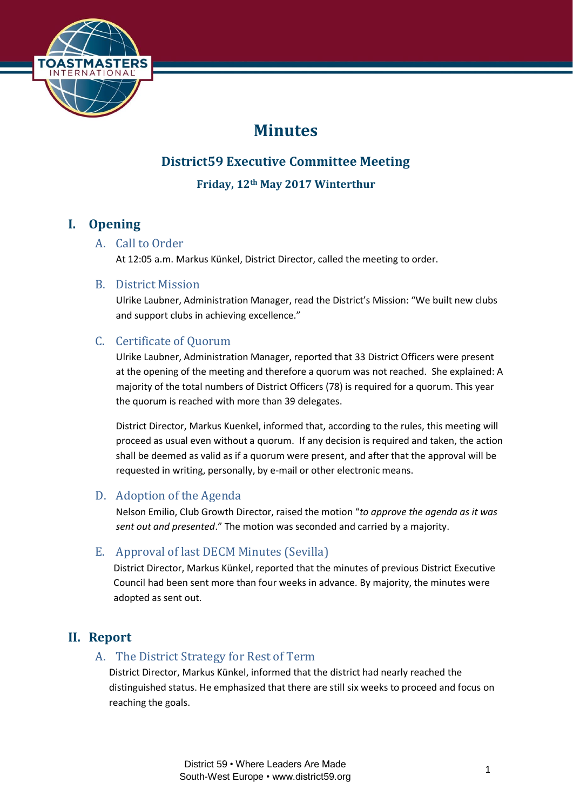

# **Minutes**

# **District59 Executive Committee Meeting**

**Friday, 12th May 2017 Winterthur**

# **I. Opening**

# A. Call to Order

At 12:05 a.m. Markus Künkel, District Director, called the meeting to order.

### B. District Mission

Ulrike Laubner, Administration Manager, read the District's Mission: "We built new clubs and support clubs in achieving excellence."

# C. Certificate of Quorum

Ulrike Laubner, Administration Manager, reported that 33 District Officers were present at the opening of the meeting and therefore a quorum was not reached. She explained: A majority of the total numbers of District Officers (78) is required for a quorum. This year the quorum is reached with more than 39 delegates.

District Director, Markus Kuenkel, informed that, according to the rules, this meeting will proceed as usual even without a quorum. If any decision is required and taken, the action shall be deemed as valid as if a quorum were present, and after that the approval will be requested in writing, personally, by e-mail or other electronic means.

# D. Adoption of the Agenda

Nelson Emilio, Club Growth Director, raised the motion "*to approve the agenda as it was sent out and presented*." The motion was seconded and carried by a majority.

# E. Approval of last DECM Minutes (Sevilla)

District Director, Markus Künkel, reported that the minutes of previous District Executive Council had been sent more than four weeks in advance. By majority, the minutes were adopted as sent out.

# **II. Report**

# A. The District Strategy for Rest of Term

District Director, Markus Künkel, informed that the district had nearly reached the distinguished status. He emphasized that there are still six weeks to proceed and focus on reaching the goals.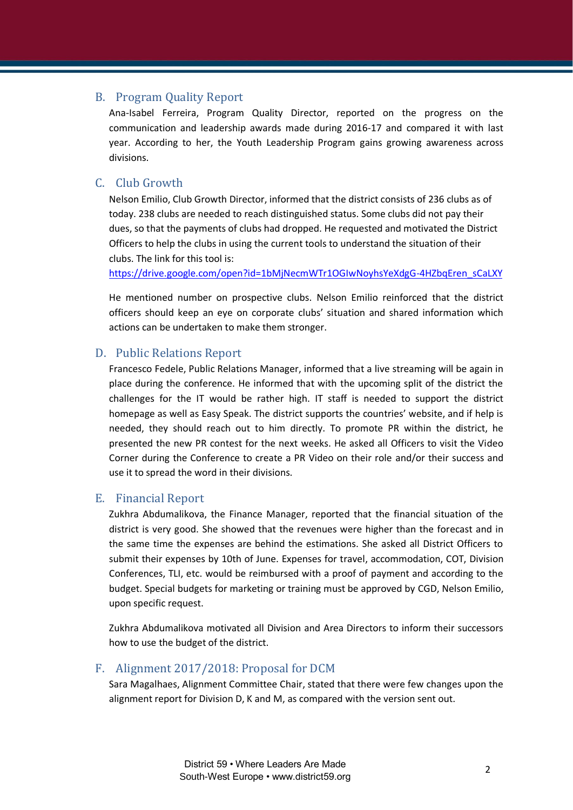#### B. Program Quality Report

Ana-Isabel Ferreira, Program Quality Director, reported on the progress on the communication and leadership awards made during 2016-17 and compared it with last year. According to her, the Youth Leadership Program gains growing awareness across divisions.

## C. Club Growth

Nelson Emilio, Club Growth Director, informed that the district consists of 236 clubs as of today. 238 clubs are needed to reach distinguished status. Some clubs did not pay their dues, so that the payments of clubs had dropped. He requested and motivated the District Officers to help the clubs in using the current tools to understand the situation of their clubs. The link for this tool is:

[https://drive.google.com/open?id=1bMjNecmWTr1OGIwNoyhsYeXdgG-4HZbqEren\\_sCaLXY](https://drive.google.com/open?id=1bMjNecmWTr1OGIwNoyhsYeXdgG-4HZbqEren_sCaLXY)

He mentioned number on prospective clubs. Nelson Emilio reinforced that the district officers should keep an eye on corporate clubs' situation and shared information which actions can be undertaken to make them stronger.

#### D. Public Relations Report

Francesco Fedele, Public Relations Manager, informed that a live streaming will be again in place during the conference. He informed that with the upcoming split of the district the challenges for the IT would be rather high. IT staff is needed to support the district homepage as well as Easy Speak. The district supports the countries' website, and if help is needed, they should reach out to him directly. To promote PR within the district, he presented the new PR contest for the next weeks. He asked all Officers to visit the Video Corner during the Conference to create a PR Video on their role and/or their success and use it to spread the word in their divisions.

#### E. Financial Report

Zukhra Abdumalikova, the Finance Manager, reported that the financial situation of the district is very good. She showed that the revenues were higher than the forecast and in the same time the expenses are behind the estimations. She asked all District Officers to submit their expenses by 10th of June. Expenses for travel, accommodation, COT, Division Conferences, TLI, etc. would be reimbursed with a proof of payment and according to the budget. Special budgets for marketing or training must be approved by CGD, Nelson Emilio, upon specific request.

Zukhra Abdumalikova motivated all Division and Area Directors to inform their successors how to use the budget of the district.

#### F. Alignment 2017/2018: Proposal for DCM

Sara Magalhaes, Alignment Committee Chair, stated that there were few changes upon the alignment report for Division D, K and M, as compared with the version sent out.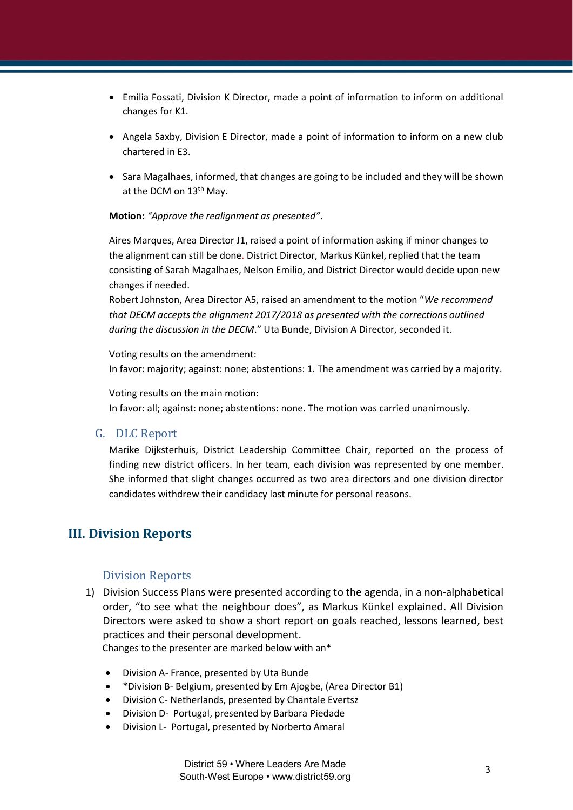- Emilia Fossati, Division K Director, made a point of information to inform on additional changes for K1.
- Angela Saxby, Division E Director, made a point of information to inform on a new club chartered in E3.
- Sara Magalhaes, informed, that changes are going to be included and they will be shown at the DCM on 13<sup>th</sup> May.

**Motion:** *"Approve the realignment as presented"***.**

Aires Marques, Area Director J1, raised a point of information asking if minor changes to the alignment can still be done. District Director, Markus Künkel, replied that the team consisting of Sarah Magalhaes, Nelson Emilio, and District Director would decide upon new changes if needed.

Robert Johnston, Area Director A5, raised an amendment to the motion "*We recommend that DECM accepts the alignment 2017/2018 as presented with the corrections outlined during the discussion in the DECM*." Uta Bunde, Division A Director, seconded it.

Voting results on the amendment: In favor: majority; against: none; abstentions: 1. The amendment was carried by a majority.

Voting results on the main motion:

In favor: all; against: none; abstentions: none. The motion was carried unanimously.

#### G. DLC Report

Marike Dijksterhuis, District Leadership Committee Chair, reported on the process of finding new district officers. In her team, each division was represented by one member. She informed that slight changes occurred as two area directors and one division director candidates withdrew their candidacy last minute for personal reasons.

# **III. Division Reports**

### Division Reports

1) Division Success Plans were presented according to the agenda, in a non-alphabetical order, "to see what the neighbour does", as Markus Künkel explained. All Division Directors were asked to show a short report on goals reached, lessons learned, best practices and their personal development.

Changes to the presenter are marked below with an\*

- Division A- France, presented by Uta Bunde
- \*Division B- Belgium, presented by Em Ajogbe, (Area Director B1)
- Division C- Netherlands, presented by Chantale Evertsz
- Division D- Portugal, presented by Barbara Piedade
- Division L- Portugal, presented by Norberto Amaral